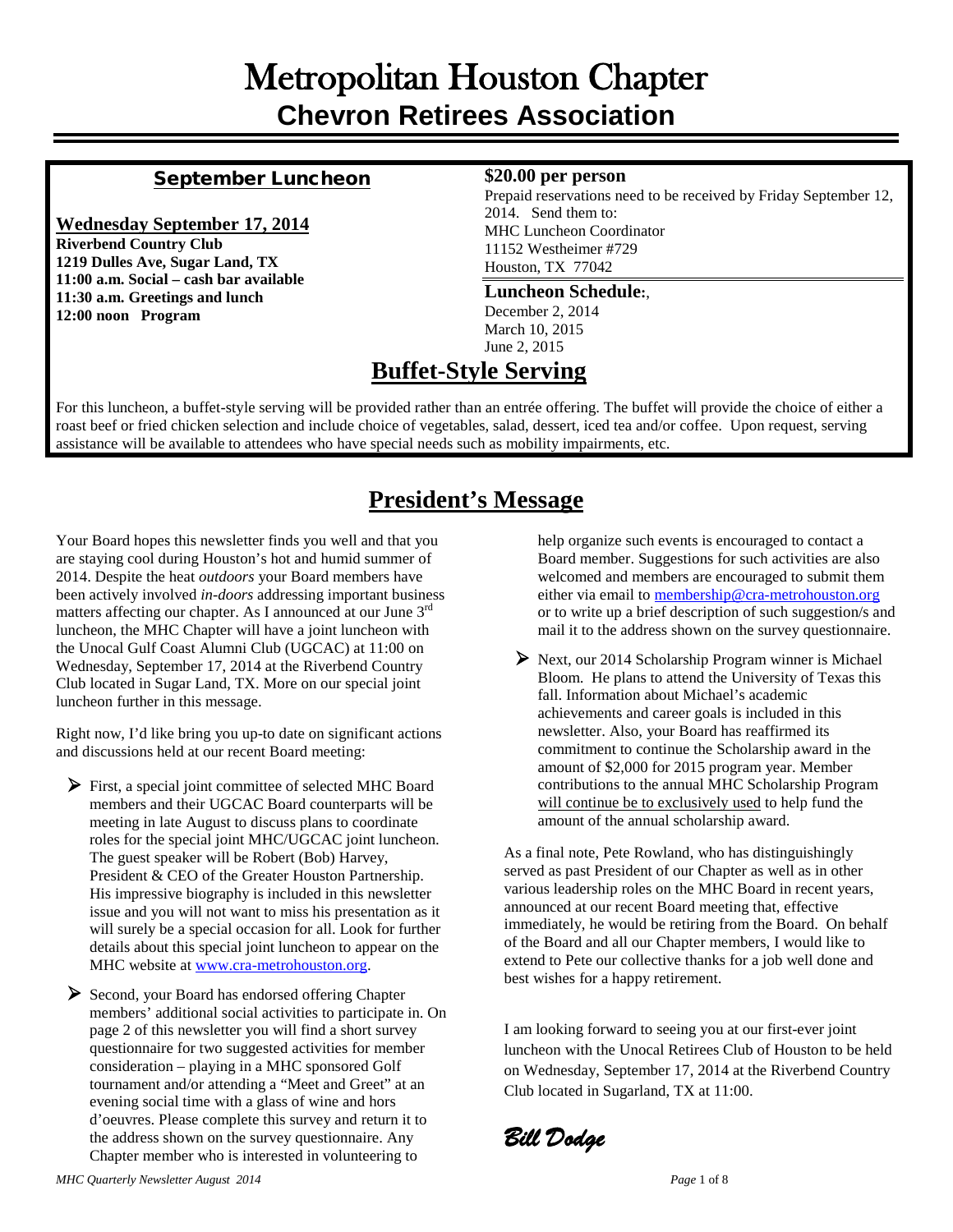## Metropolitan Houston Chapter **Chevron Retirees Association**

### September Luncheon

#### **Wednesday September 17, 2014**

**Riverbend Country Club 1219 Dulles Ave, Sugar Land, TX 11:00 a.m. Social – cash bar available 11:30 a.m. Greetings and lunch 12:00 noon Program**

#### **\$20.00 per person**

Prepaid reservations need to be received by Friday September 12, 2014. Send them to: MHC Luncheon Coordinator 11152 Westheimer #729 Houston, TX 77042

#### **Luncheon Schedule:**,

December 2, 2014 March 10, 2015 June 2, 2015

### **Buffet-Style Serving**

For this luncheon, a buffet-style serving will be provided rather than an entrée offering. The buffet will provide the choice of either a roast beef or fried chicken selection and include choice of vegetables, salad, dessert, iced tea and/or coffee. Upon request, serving assistance will be available to attendees who have special needs such as mobility impairments, etc.

## **President's Message**

Your Board hopes this newsletter finds you well and that you are staying cool during Houston's hot and humid summer of 2014. Despite the heat *outdoors* your Board members have been actively involved *in-doors* addressing important business matters affecting our chapter. As I announced at our June 3<sup>rd</sup> luncheon, the MHC Chapter will have a joint luncheon with the Unocal Gulf Coast Alumni Club (UGCAC) at 11:00 on Wednesday, September 17, 2014 at the Riverbend Country Club located in Sugar Land, TX. More on our special joint luncheon further in this message.

Right now, I'd like bring you up-to date on significant actions and discussions held at our recent Board meeting:

 First, a special joint committee of selected MHC Board members and their UGCAC Board counterparts will be meeting in late August to discuss plans to coordinate roles for the special joint MHC/UGCAC joint luncheon. The guest speaker will be Robert (Bob) Harvey, President & CEO of the Greater Houston Partnership. His impressive biography is included in this newsletter issue and you will not want to miss his presentation as it will surely be a special occasion for all. Look for further details about this special joint luncheon to appear on the MHC website a[t www.cra-metrohouston.org.](http://www.cra-metrohouston.org/)

Second, your Board has endorsed offering Chapter members' additional social activities to participate in. On page 2 of this newsletter you will find a short survey questionnaire for two suggested activities for member consideration – playing in a MHC sponsored Golf tournament and/or attending a "Meet and Greet" at an evening social time with a glass of wine and hors d'oeuvres. Please complete this survey and return it to the address shown on the survey questionnaire. Any Chapter member who is interested in volunteering to

help organize such events is encouraged to contact a Board member. Suggestions for such activities are also welcomed and members are encouraged to submit them either via email to [membership@cra-metrohouston.org](mailto:membership@cra-metrohouston.org) or to write up a brief description of such suggestion/s and mail it to the address shown on the survey questionnaire.

 Next, our 2014 Scholarship Program winner is Michael Bloom. He plans to attend the University of Texas this fall. Information about Michael's academic achievements and career goals is included in this newsletter. Also, your Board has reaffirmed its commitment to continue the Scholarship award in the amount of \$2,000 for 2015 program year. Member contributions to the annual MHC Scholarship Program will continue be to exclusively used to help fund the amount of the annual scholarship award.

As a final note, Pete Rowland, who has distinguishingly served as past President of our Chapter as well as in other various leadership roles on the MHC Board in recent years, announced at our recent Board meeting that, effective immediately, he would be retiring from the Board. On behalf of the Board and all our Chapter members, I would like to extend to Pete our collective thanks for a job well done and best wishes for a happy retirement.

I am looking forward to seeing you at our first-ever joint luncheon with the Unocal Retirees Club of Houston to be held on Wednesday, September 17, 2014 at the Riverbend Country Club located in Sugarland, TX at 11:00.

*Bill Dodge*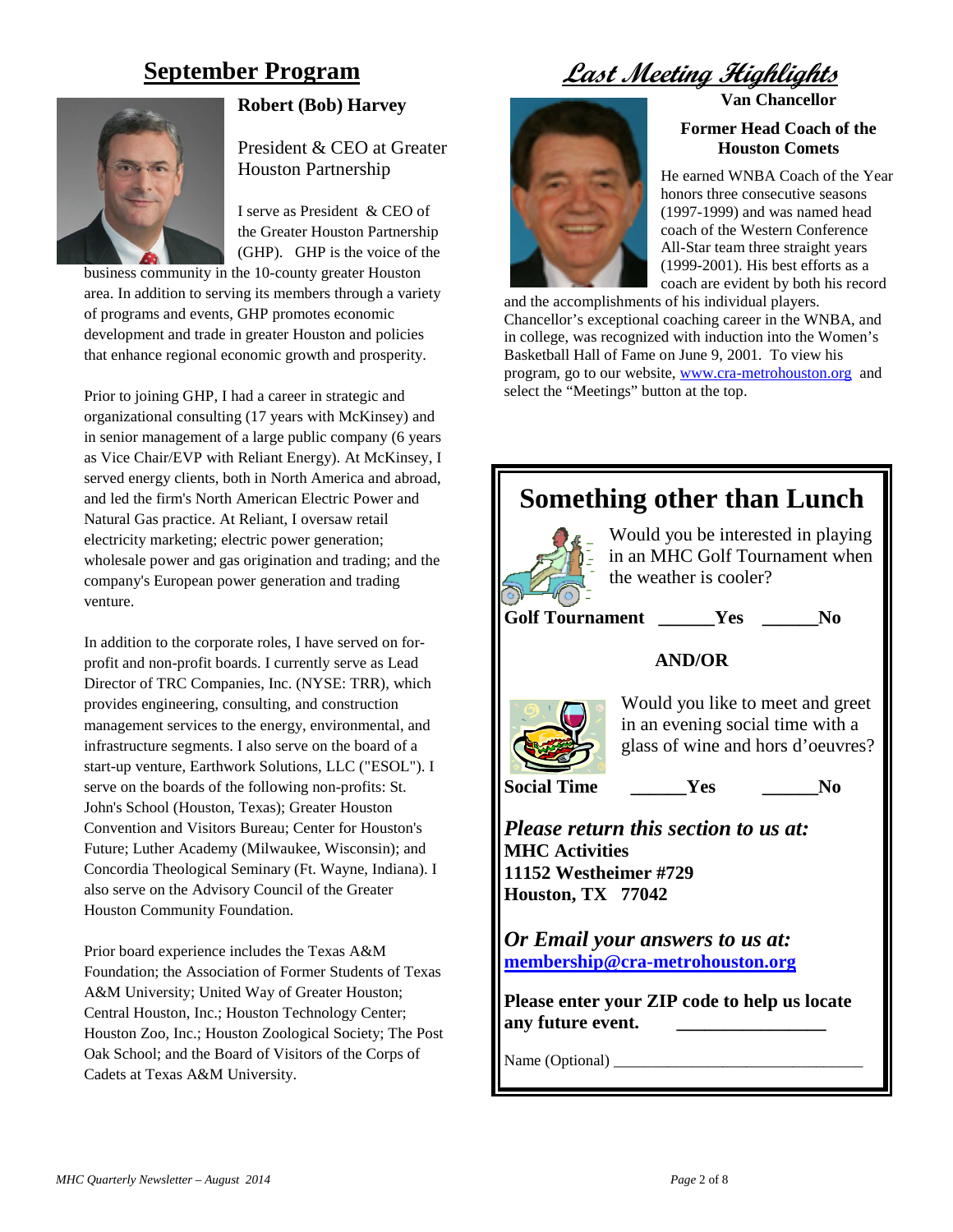### **September Program**



#### **Robert (Bob) Harvey**

President & CEO at Greater Houston Partnership

I serve as President & CEO of the Greater Houston Partnership (GHP). GHP is the voice of the

business community in the 10-county greater Houston area. In addition to serving its members through a variety of programs and events, GHP promotes economic development and trade in greater Houston and policies that enhance regional economic growth and prosperity.

Prior to joining GHP, I had a career in strategic and organizational consulting (17 years with McKinsey) and in senior management of a large public company (6 years as Vice Chair/EVP with Reliant Energy). At McKinsey, I served energy clients, both in North America and abroad, and led the firm's North American Electric Power and Natural Gas practice. At Reliant, I oversaw retail electricity marketing; electric power generation; wholesale power and gas origination and trading; and the company's European power generation and trading venture.

In addition to the corporate roles, I have served on forprofit and non-profit boards. I currently serve as Lead Director of TRC Companies, Inc. (NYSE: TRR), which provides engineering, consulting, and construction management services to the energy, environmental, and infrastructure segments. I also serve on the board of a start-up venture, Earthwork Solutions, LLC ("ESOL"). I serve on the boards of the following non-profits: St. John's School (Houston, Texas); Greater Houston Convention and Visitors Bureau; Center for Houston's Future; Luther Academy (Milwaukee, Wisconsin); and Concordia Theological Seminary (Ft. Wayne, Indiana). I also serve on the Advisory Council of the Greater Houston Community Foundation.

Prior board experience includes the Texas A&M Foundation; the Association of Former Students of Texas A&M University; United Way of Greater Houston; Central Houston, Inc.; Houston Technology Center; Houston Zoo, Inc.; Houston Zoological Society; The Post Oak School; and the Board of Visitors of the Corps of Cadets at Texas A&M University.

**Last Meeting Highlight** 

#### **Van Chancellor**



**Former Head Coach of the Houston Comets**

He earned WNBA Coach of the Year honors three consecutive seasons (1997-1999) and was named head coach of the Western Conference All-Star team three straight years (1999-2001). His best efforts as a coach are evident by both his record

and the accomplishments of his individual players. Chancellor's exceptional coaching career in the WNBA, and in college, was recognized with induction into the Women's Basketball Hall of Fame on June 9, 2001. To view his program, go to our website, [www.cra-metrohouston.org](http://www.cra-metrohouston.org/) and select the "Meetings" button at the top.

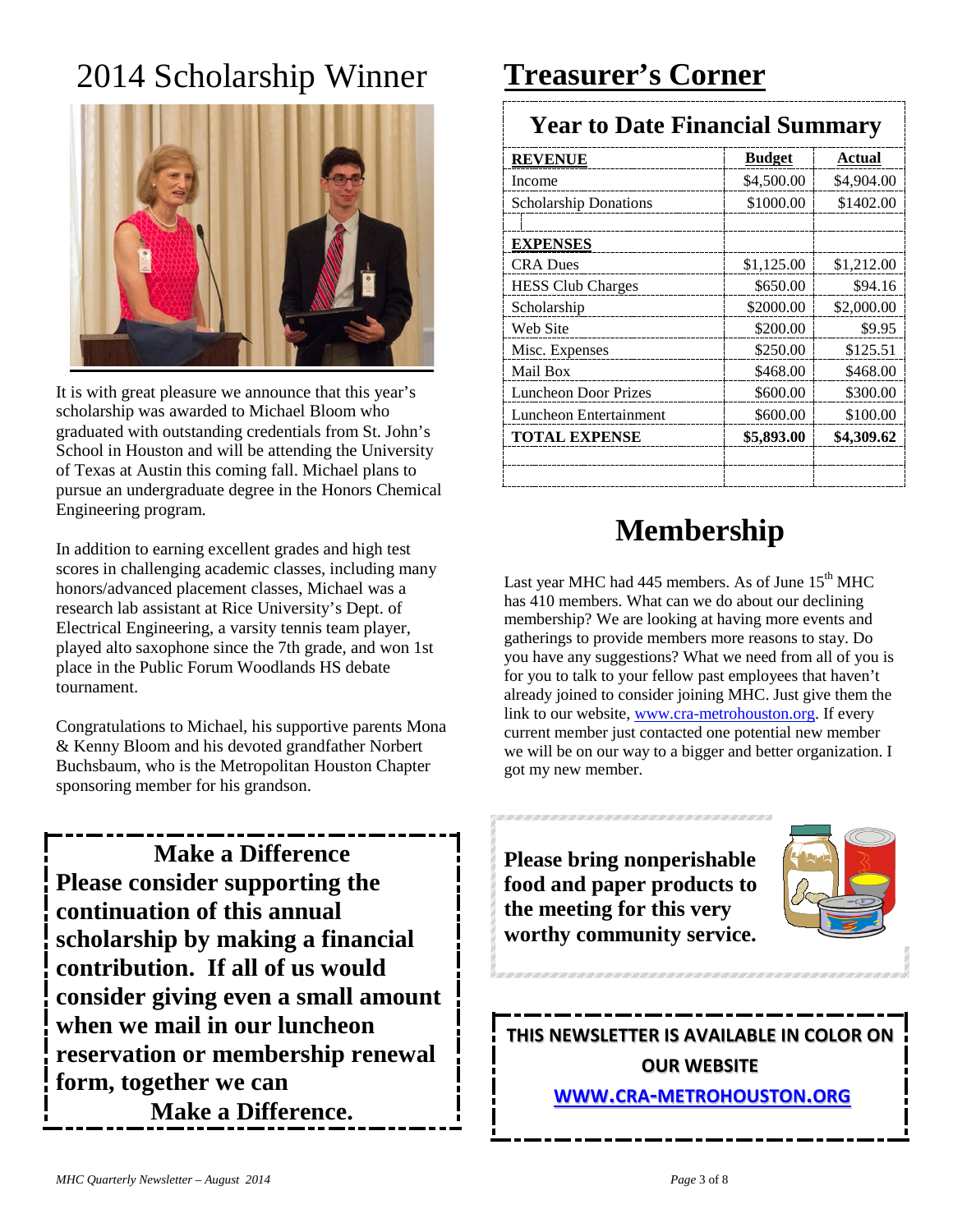# 2014 Scholarship Winner



It is with great pleasure we announce that this year's scholarship was awarded to Michael Bloom who graduated with outstanding credentials from St. John's School in Houston and will be attending the University of Texas at Austin this coming fall. Michael plans to pursue an undergraduate degree in the Honors Chemical Engineering program.

In addition to earning excellent grades and high test scores in challenging academic classes, including many honors/advanced placement classes, Michael was a research lab assistant at Rice University's Dept. of Electrical Engineering, a varsity tennis team player, played alto saxophone since the 7th grade, and won 1st place in the Public Forum Woodlands HS debate tournament.

Congratulations to Michael, his supportive parents Mona & Kenny Bloom and his devoted grandfather Norbert Buchsbaum, who is the Metropolitan Houston Chapter sponsoring member for his grandson.

**Make a Difference Please consider supporting the continuation of this annual scholarship by making a financial contribution. If all of us would consider giving even a small amount when we mail in our luncheon reservation or membership renewal form, together we can Make a Difference.**

## **Treasurer's Corner**

### **Year to Date Financial Summary**

| <b>REVENUE</b>               | <b>Budget</b> | Actual     |
|------------------------------|---------------|------------|
| Income                       | \$4,500.00    | \$4,904.00 |
| <b>Scholarship Donations</b> | \$1000.00     | \$1402.00  |
|                              |               |            |
| <b>EXPENSES</b>              |               |            |
| <b>CRA Dues</b>              | \$1,125.00    | \$1,212.00 |
| <b>HESS Club Charges</b>     | \$650.00      | \$94.16    |
| Scholarship                  | \$2000.00     | \$2,000.00 |
| Web Site                     | \$200.00      | \$9.95     |
| Misc. Expenses               | \$250.00      | \$125.51   |
| Mail Box                     | \$468.00      | \$468.00   |
| <b>Luncheon Door Prizes</b>  | \$600.00      | \$300.00   |
| Luncheon Entertainment       | \$600.00      | \$100.00   |
| <b>TOTAL EXPENSE</b>         | \$5,893.00    | \$4,309.62 |
|                              |               |            |

## **Membership**

Last year MHC had  $445$  members. As of June  $15<sup>th</sup>$  MHC has 410 members. What can we do about our declining membership? We are looking at having more events and gatherings to provide members more reasons to stay. Do you have any suggestions? What we need from all of you is for you to talk to your fellow past employees that haven't already joined to consider joining MHC. Just give them the link to our website[, www.cra-metrohouston.org.](http://www.cra-metrohouston.org/) If every current member just contacted one potential new member we will be on our way to a bigger and better organization. I got my new member.

**Please bring nonperishable food and paper products to the meeting for this very worthy community service.**



**THIS NEWSLETTER IS AVAILABLE IN COLOR ON OUR WEBSITE [WWW.CRA-METROHOUSTON.ORG](http://www.cra-metrohouston.org/)**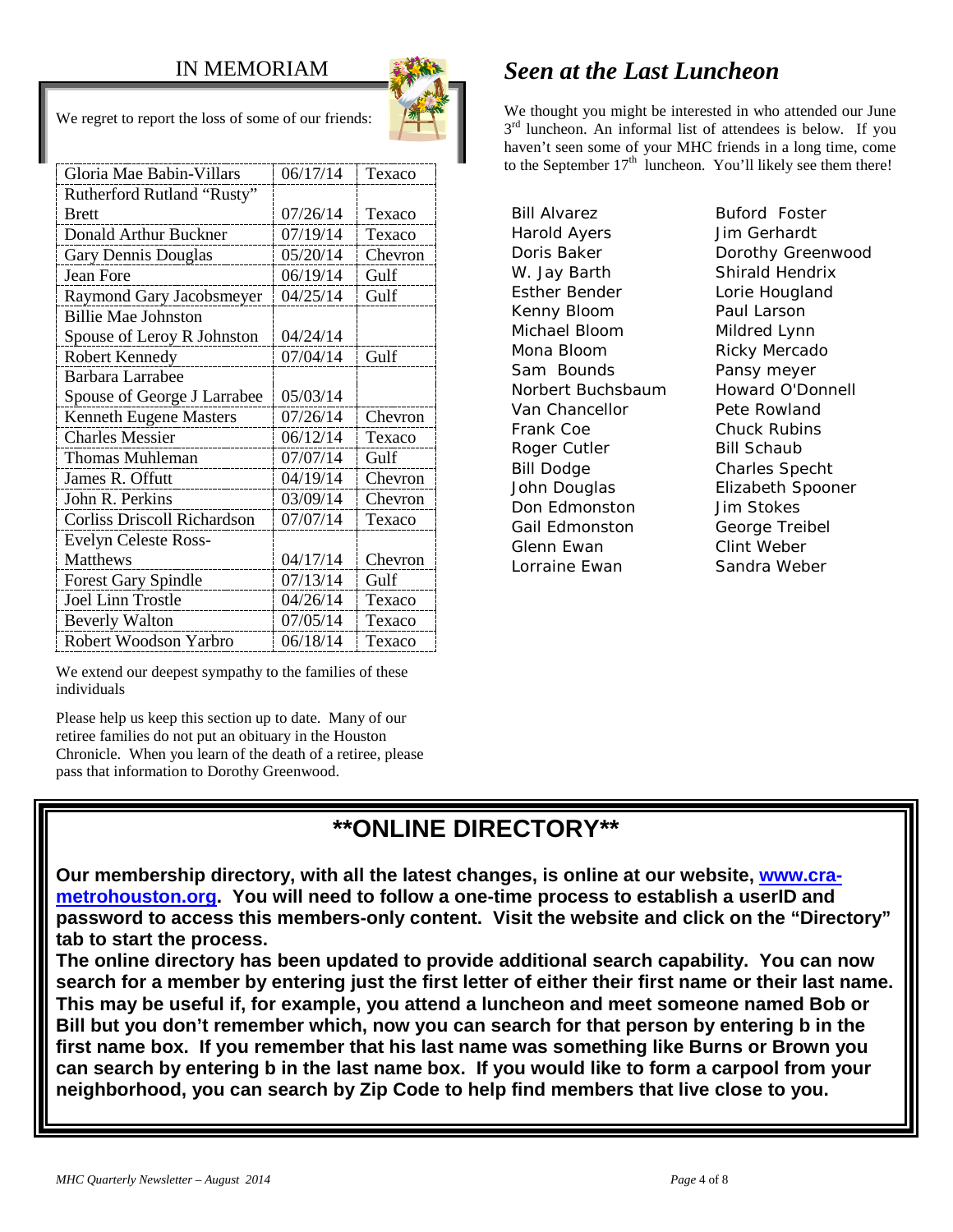### IN MEMORIAM



We regret to report the loss of some of our friends:

| Gloria Mae Babin-Villars           | 06/17/14 | Texaco  |
|------------------------------------|----------|---------|
| Rutherford Rutland "Rusty"         |          |         |
| <b>Brett</b>                       | 07/26/14 | Texaco  |
| Donald Arthur Buckner              | 07/19/14 | Texaco  |
| Gary Dennis Douglas                | 05/20/14 | Chevron |
| Jean Fore                          | 06/19/14 | Gulf    |
| Raymond Gary Jacobsmeyer           | 04/25/14 | Gulf    |
| <b>Billie Mae Johnston</b>         |          |         |
| Spouse of Leroy R Johnston         | 04/24/14 |         |
| Robert Kennedy                     | 07/04/14 | Gulf    |
| Barbara Larrabee                   |          |         |
| Spouse of George J Larrabee        | 05/03/14 |         |
| <b>Kenneth Eugene Masters</b>      | 07/26/14 | Chevron |
| <b>Charles Messier</b>             | 06/12/14 | Texaco  |
| <b>Thomas Muhleman</b>             | 07/07/14 | Gulf    |
| James R. Offutt                    | 04/19/14 | Chevron |
| John R. Perkins                    | 03/09/14 | Chevron |
| <b>Corliss Driscoll Richardson</b> | 07/07/14 | Texaco  |
| <b>Evelyn Celeste Ross-</b>        |          |         |
| Matthews                           | 04/17/14 | Chevron |
| <b>Forest Gary Spindle</b>         | 07/13/14 | Gulf    |
| <b>Joel Linn Trostle</b>           | 04/26/14 | Texaco  |
|                                    |          |         |
| <b>Beverly Walton</b>              | 07/05/14 | Texaco  |

## *Seen at the Last Luncheon*

We thought you might be interested in who attended our June  $3<sup>rd</sup>$  luncheon. An informal list of attendees is below. If you haven't seen some of your MHC friends in a long time, come to the September  $17<sup>th</sup>$  luncheon. You'll likely see them there!

Bill Alvarez **Buford Foster** Harold Ayers Jim Gerhardt W. Jay Barth Shirald Hendrix Esther Bender **Lorie Hougland** Kenny Bloom Paul Larson Michael Bloom Mildred Lynn Mona Bloom Ricky Mercado Sam Bounds Pansy meyer Norbert Buchsbaum Howard O'Donnell Van Chancellor **Pete Rowland** Frank Coe Chuck Rubins Roger Cutler Bill Schaub Bill Dodge Charles Specht John Douglas Elizabeth Spooner Don Edmonston Jim Stokes Gail Edmonston George Treibel Glenn Ewan Clint Weber Lorraine Ewan Sandra Weber

Doris Baker **Dorothy Greenwood** 

We extend our deepest sympathy to the families of these individuals

Please help us keep this section up to date. Many of our retiree families do not put an obituary in the Houston Chronicle. When you learn of the death of a retiree, please pass that information to Dorothy Greenwood.

## **\*\*ONLINE DIRECTORY\*\***

**Our membership directory, with all the latest changes, is online at our website, [www.cra](http://www.cra-metrohouston.org/)[metrohouston.org.](http://www.cra-metrohouston.org/) You will need to follow a one-time process to establish a userID and password to access this members-only content. Visit the website and click on the "Directory" tab to start the process.** 

**The online directory has been updated to provide additional search capability. You can now search for a member by entering just the first letter of either their first name or their last name. This may be useful if, for example, you attend a luncheon and meet someone named Bob or Bill but you don't remember which, now you can search for that person by entering b in the first name box. If you remember that his last name was something like Burns or Brown you can search by entering b in the last name box. If you would like to form a carpool from your neighborhood, you can search by Zip Code to help find members that live close to you.**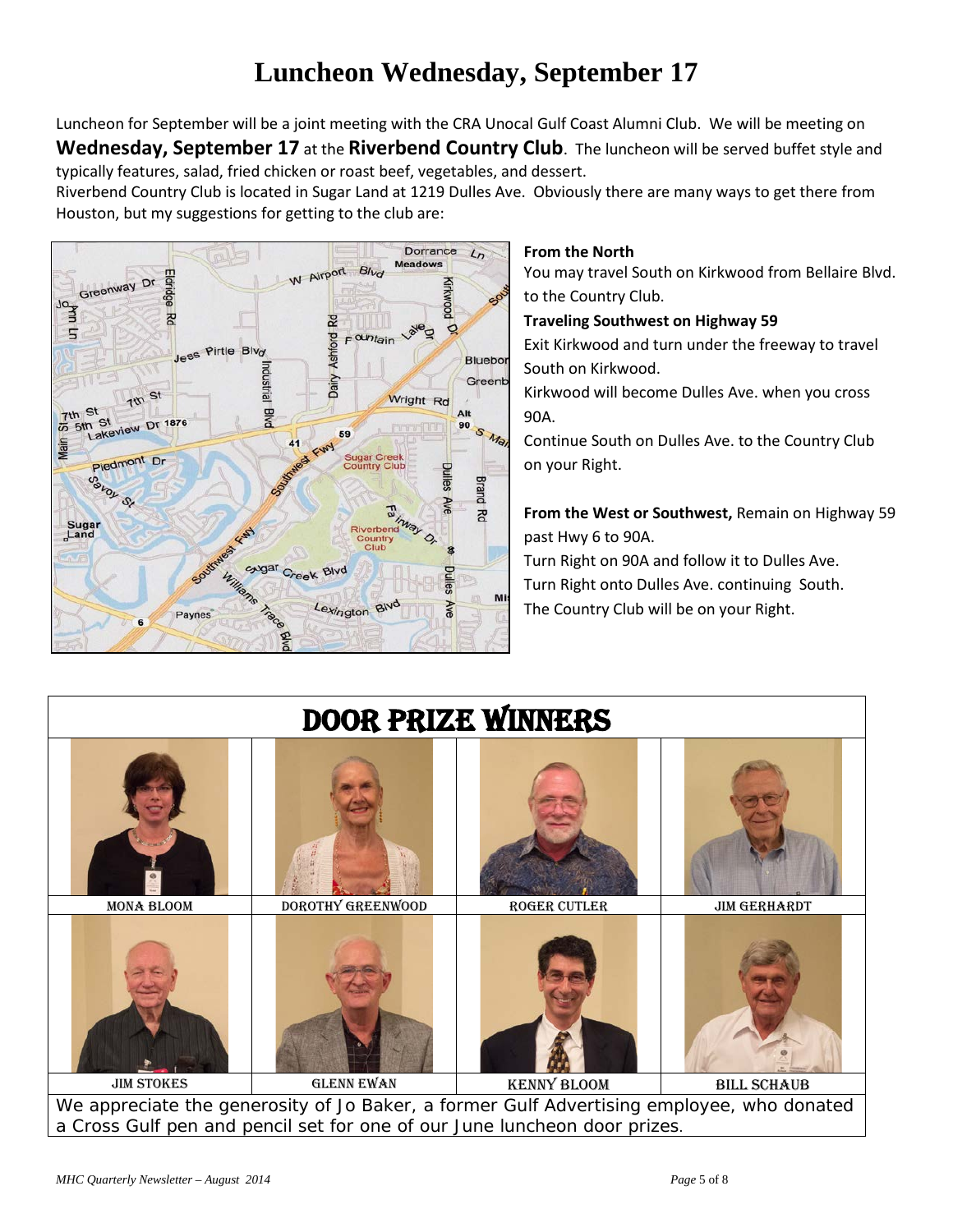## **Luncheon Wednesday, September 17**

Luncheon for September will be a joint meeting with the CRA Unocal Gulf Coast Alumni Club. We will be meeting on **Wednesday, September 17** at the **Riverbend Country Club**. The luncheon will be served buffet style and typically features, salad, fried chicken or roast beef, vegetables, and dessert.

Riverbend Country Club is located in Sugar Land at 1219 Dulles Ave. Obviously there are many ways to get there from Houston, but my suggestions for getting to the club are:



#### **From the North**

You may travel South on Kirkwood from Bellaire Blvd. to the Country Club.

**Traveling Southwest on Highway 59**

Exit Kirkwood and turn under the freeway to travel South on Kirkwood.

Kirkwood will become Dulles Ave. when you cross 90A.

Continue South on Dulles Ave. to the Country Club on your Right.

**From the West or Southwest,** Remain on Highway 59 past Hwy 6 to 90A.

Turn Right on 90A and follow it to Dulles Ave. Turn Right onto Dulles Ave. continuing South. The Country Club will be on your Right.